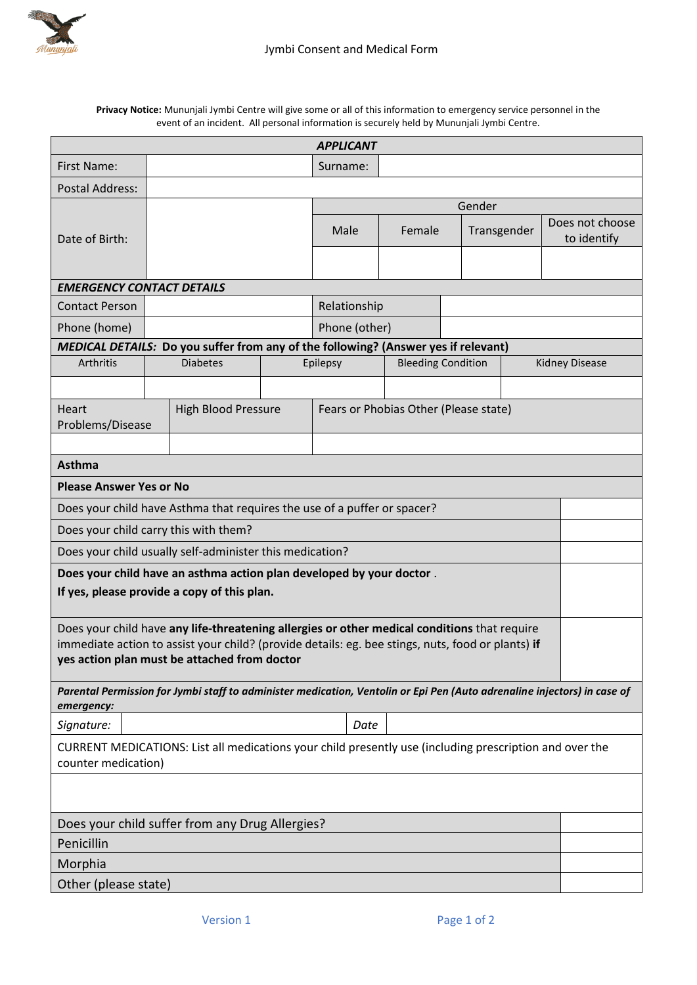

**Privacy Notice:** Mununjali Jymbi Centre will give some or all of this information to emergency service personnel in the event of an incident. All personal information is securely held by Mununjali Jymbi Centre.

| <b>APPLICANT</b>                                                                                                         |                  |                 |                                                                                             |                                                                     |                                                                                                                                                                  |                           |                                                                                                                                                      |  |  |  |  |
|--------------------------------------------------------------------------------------------------------------------------|------------------|-----------------|---------------------------------------------------------------------------------------------|---------------------------------------------------------------------|------------------------------------------------------------------------------------------------------------------------------------------------------------------|---------------------------|------------------------------------------------------------------------------------------------------------------------------------------------------|--|--|--|--|
|                                                                                                                          |                  |                 | Surname:                                                                                    |                                                                     |                                                                                                                                                                  |                           |                                                                                                                                                      |  |  |  |  |
|                                                                                                                          |                  |                 |                                                                                             |                                                                     |                                                                                                                                                                  |                           |                                                                                                                                                      |  |  |  |  |
|                                                                                                                          |                  |                 | Gender                                                                                      |                                                                     |                                                                                                                                                                  |                           |                                                                                                                                                      |  |  |  |  |
|                                                                                                                          |                  |                 | Male<br>Female                                                                              |                                                                     |                                                                                                                                                                  |                           | Does not choose<br>to identify                                                                                                                       |  |  |  |  |
|                                                                                                                          |                  |                 |                                                                                             |                                                                     |                                                                                                                                                                  |                           |                                                                                                                                                      |  |  |  |  |
|                                                                                                                          |                  |                 |                                                                                             |                                                                     |                                                                                                                                                                  |                           |                                                                                                                                                      |  |  |  |  |
| <b>EMERGENCY CONTACT DETAILS</b><br><b>Contact Person</b>                                                                |                  |                 |                                                                                             |                                                                     |                                                                                                                                                                  |                           |                                                                                                                                                      |  |  |  |  |
|                                                                                                                          |                  |                 |                                                                                             |                                                                     |                                                                                                                                                                  |                           |                                                                                                                                                      |  |  |  |  |
| Phone (other)                                                                                                            |                  |                 |                                                                                             |                                                                     |                                                                                                                                                                  |                           |                                                                                                                                                      |  |  |  |  |
| <b>MEDICAL DETAILS:</b> Do you suffer from any of the following? (Answer yes if relevant)<br>Arthritis                   |                  |                 |                                                                                             |                                                                     |                                                                                                                                                                  |                           |                                                                                                                                                      |  |  |  |  |
|                                                                                                                          |                  |                 |                                                                                             |                                                                     |                                                                                                                                                                  |                           | <b>Kidney Disease</b>                                                                                                                                |  |  |  |  |
|                                                                                                                          |                  |                 |                                                                                             |                                                                     |                                                                                                                                                                  |                           |                                                                                                                                                      |  |  |  |  |
| <b>High Blood Pressure</b>                                                                                               |                  |                 |                                                                                             |                                                                     |                                                                                                                                                                  |                           |                                                                                                                                                      |  |  |  |  |
|                                                                                                                          |                  |                 |                                                                                             |                                                                     |                                                                                                                                                                  |                           |                                                                                                                                                      |  |  |  |  |
|                                                                                                                          |                  |                 |                                                                                             |                                                                     |                                                                                                                                                                  |                           |                                                                                                                                                      |  |  |  |  |
| <b>Asthma</b><br><b>Please Answer Yes or No</b>                                                                          |                  |                 |                                                                                             |                                                                     |                                                                                                                                                                  |                           |                                                                                                                                                      |  |  |  |  |
|                                                                                                                          |                  |                 |                                                                                             |                                                                     |                                                                                                                                                                  |                           |                                                                                                                                                      |  |  |  |  |
|                                                                                                                          |                  |                 |                                                                                             |                                                                     |                                                                                                                                                                  |                           |                                                                                                                                                      |  |  |  |  |
| Does your child carry this with them?                                                                                    |                  |                 |                                                                                             |                                                                     |                                                                                                                                                                  |                           |                                                                                                                                                      |  |  |  |  |
| Does your child usually self-administer this medication?                                                                 |                  |                 |                                                                                             |                                                                     |                                                                                                                                                                  |                           |                                                                                                                                                      |  |  |  |  |
|                                                                                                                          |                  |                 |                                                                                             |                                                                     |                                                                                                                                                                  |                           |                                                                                                                                                      |  |  |  |  |
|                                                                                                                          |                  |                 |                                                                                             |                                                                     |                                                                                                                                                                  |                           |                                                                                                                                                      |  |  |  |  |
|                                                                                                                          |                  |                 |                                                                                             |                                                                     |                                                                                                                                                                  |                           |                                                                                                                                                      |  |  |  |  |
| immediate action to assist your child? (provide details: eg. bee stings, nuts, food or plants) if                        |                  |                 |                                                                                             |                                                                     |                                                                                                                                                                  |                           |                                                                                                                                                      |  |  |  |  |
|                                                                                                                          |                  |                 |                                                                                             |                                                                     |                                                                                                                                                                  |                           |                                                                                                                                                      |  |  |  |  |
| Parental Permission for Jymbi staff to administer medication, Ventolin or Epi Pen (Auto adrenaline injectors) in case of |                  |                 |                                                                                             |                                                                     |                                                                                                                                                                  |                           |                                                                                                                                                      |  |  |  |  |
|                                                                                                                          |                  |                 |                                                                                             |                                                                     |                                                                                                                                                                  |                           |                                                                                                                                                      |  |  |  |  |
|                                                                                                                          |                  |                 |                                                                                             |                                                                     |                                                                                                                                                                  |                           |                                                                                                                                                      |  |  |  |  |
| CURRENT MEDICATIONS: List all medications your child presently use (including prescription and over the                  |                  |                 |                                                                                             |                                                                     |                                                                                                                                                                  |                           |                                                                                                                                                      |  |  |  |  |
| counter medication)                                                                                                      |                  |                 |                                                                                             |                                                                     |                                                                                                                                                                  |                           |                                                                                                                                                      |  |  |  |  |
|                                                                                                                          |                  |                 |                                                                                             |                                                                     |                                                                                                                                                                  |                           |                                                                                                                                                      |  |  |  |  |
|                                                                                                                          |                  |                 |                                                                                             |                                                                     |                                                                                                                                                                  |                           |                                                                                                                                                      |  |  |  |  |
| Penicillin                                                                                                               |                  |                 |                                                                                             |                                                                     |                                                                                                                                                                  |                           |                                                                                                                                                      |  |  |  |  |
| Morphia                                                                                                                  |                  |                 |                                                                                             |                                                                     |                                                                                                                                                                  |                           |                                                                                                                                                      |  |  |  |  |
| Other (please state)                                                                                                     |                  |                 |                                                                                             |                                                                     |                                                                                                                                                                  |                           |                                                                                                                                                      |  |  |  |  |
|                                                                                                                          | Problems/Disease | <b>Diabetes</b> | If yes, please provide a copy of this plan.<br>yes action plan must be attached from doctor | Epilepsy<br>Date<br>Does your child suffer from any Drug Allergies? | Relationship<br>Does your child have Asthma that requires the use of a puffer or spacer?<br>Does your child have an asthma action plan developed by your doctor. | <b>Bleeding Condition</b> | Transgender<br>Fears or Phobias Other (Please state)<br>Does your child have any life-threatening allergies or other medical conditions that require |  |  |  |  |